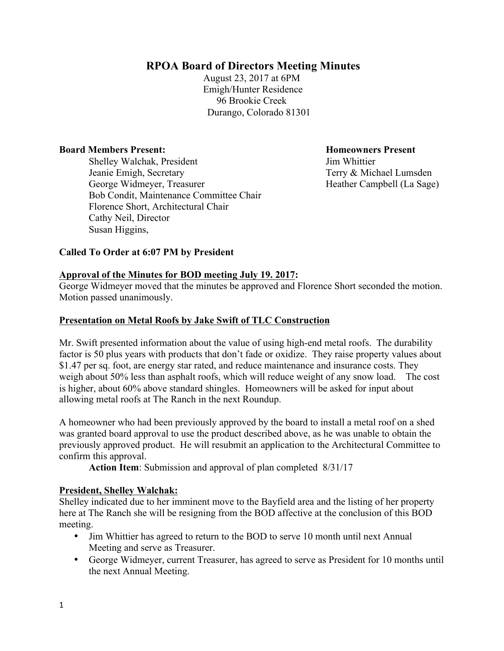# **RPOA Board of Directors Meeting Minutes**

August 23, 2017 at 6PM Emigh/Hunter Residence 96 Brookie Creek Durango, Colorado 81301

#### **Board Members Present: Homeowners Present**

**Shelley Walchak, President Jim Whittier**  Jeanie Emigh, Secretary Terry & Michael Lumsden George Widmeyer, Treasurer Heather Campbell (La Sage) Bob Condit, Maintenance Committee Chair Florence Short, Architectural Chair Cathy Neil, Director Susan Higgins,

### **Called To Order at 6:07 PM by President**

#### **Approval of the Minutes for BOD meeting July 19. 2017:**

George Widmeyer moved that the minutes be approved and Florence Short seconded the motion. Motion passed unanimously.

#### **Presentation on Metal Roofs by Jake Swift of TLC Construction**

Mr. Swift presented information about the value of using high-end metal roofs. The durability factor is 50 plus years with products that don't fade or oxidize. They raise property values about \$1.47 per sq. foot, are energy star rated, and reduce maintenance and insurance costs. They weigh about 50% less than asphalt roofs, which will reduce weight of any snow load. The cost is higher, about 60% above standard shingles. Homeowners will be asked for input about allowing metal roofs at The Ranch in the next Roundup.

A homeowner who had been previously approved by the board to install a metal roof on a shed was granted board approval to use the product described above, as he was unable to obtain the previously approved product. He will resubmit an application to the Architectural Committee to confirm this approval.

**Action Item**: Submission and approval of plan completed 8/31/17

#### **President, Shelley Walchak:**

Shelley indicated due to her imminent move to the Bayfield area and the listing of her property here at The Ranch she will be resigning from the BOD affective at the conclusion of this BOD meeting.

- Jim Whittier has agreed to return to the BOD to serve 10 month until next Annual Meeting and serve as Treasurer.
- George Widmeyer, current Treasurer, has agreed to serve as President for 10 months until the next Annual Meeting.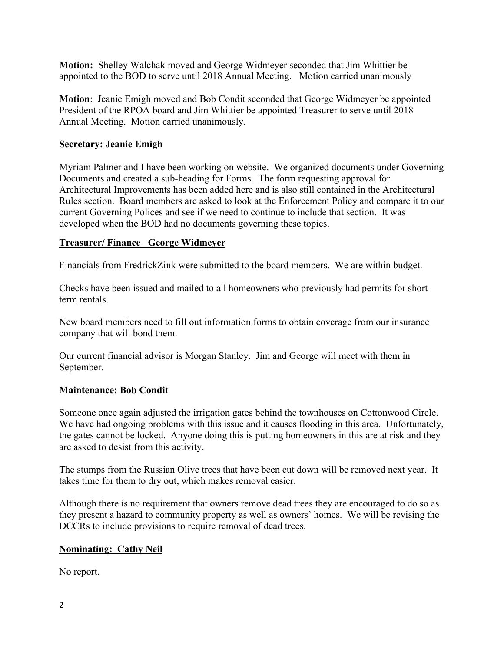**Motion:** Shelley Walchak moved and George Widmeyer seconded that Jim Whittier be appointed to the BOD to serve until 2018 Annual Meeting. Motion carried unanimously

**Motion**: Jeanie Emigh moved and Bob Condit seconded that George Widmeyer be appointed President of the RPOA board and Jim Whittier be appointed Treasurer to serve until 2018 Annual Meeting. Motion carried unanimously.

## **Secretary: Jeanie Emigh**

Myriam Palmer and I have been working on website. We organized documents under Governing Documents and created a sub-heading for Forms. The form requesting approval for Architectural Improvements has been added here and is also still contained in the Architectural Rules section. Board members are asked to look at the Enforcement Policy and compare it to our current Governing Polices and see if we need to continue to include that section. It was developed when the BOD had no documents governing these topics.

## **Treasurer/ Finance George Widmeyer**

Financials from FredrickZink were submitted to the board members. We are within budget.

Checks have been issued and mailed to all homeowners who previously had permits for shortterm rentals.

New board members need to fill out information forms to obtain coverage from our insurance company that will bond them.

Our current financial advisor is Morgan Stanley. Jim and George will meet with them in September.

### **Maintenance: Bob Condit**

Someone once again adjusted the irrigation gates behind the townhouses on Cottonwood Circle. We have had ongoing problems with this issue and it causes flooding in this area. Unfortunately, the gates cannot be locked. Anyone doing this is putting homeowners in this are at risk and they are asked to desist from this activity.

The stumps from the Russian Olive trees that have been cut down will be removed next year. It takes time for them to dry out, which makes removal easier.

Although there is no requirement that owners remove dead trees they are encouraged to do so as they present a hazard to community property as well as owners' homes. We will be revising the DCCRs to include provisions to require removal of dead trees.

## **Nominating: Cathy Neil**

No report.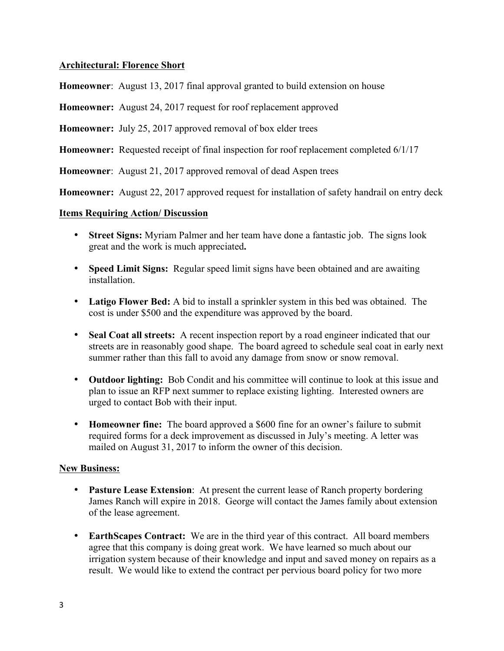## **Architectural: Florence Short**

**Homeowner**: August 13, 2017 final approval granted to build extension on house

**Homeowner:** August 24, 2017 request for roof replacement approved

**Homeowner:** July 25, 2017 approved removal of box elder trees

**Homeowner:** Requested receipt of final inspection for roof replacement completed 6/1/17

**Homeowner**: August 21, 2017 approved removal of dead Aspen trees

**Homeowner:** August 22, 2017 approved request for installation of safety handrail on entry deck

### **Items Requiring Action/ Discussion**

- **Street Signs:** Myriam Palmer and her team have done a fantastic job. The signs look great and the work is much appreciated**.**
- **Speed Limit Signs:** Regular speed limit signs have been obtained and are awaiting installation.
- **Latigo Flower Bed:** A bid to install a sprinkler system in this bed was obtained. The cost is under \$500 and the expenditure was approved by the board.
- **Seal Coat all streets:** A recent inspection report by a road engineer indicated that our streets are in reasonably good shape. The board agreed to schedule seal coat in early next summer rather than this fall to avoid any damage from snow or snow removal.
- **Outdoor lighting:** Bob Condit and his committee will continue to look at this issue and plan to issue an RFP next summer to replace existing lighting. Interested owners are urged to contact Bob with their input.
- **Homeowner fine:** The board approved a \$600 fine for an owner's failure to submit required forms for a deck improvement as discussed in July's meeting. A letter was mailed on August 31, 2017 to inform the owner of this decision.

### **New Business:**

- **Pasture Lease Extension**: At present the current lease of Ranch property bordering James Ranch will expire in 2018. George will contact the James family about extension of the lease agreement.
- **EarthScapes Contract:** We are in the third year of this contract. All board members agree that this company is doing great work. We have learned so much about our irrigation system because of their knowledge and input and saved money on repairs as a result. We would like to extend the contract per pervious board policy for two more